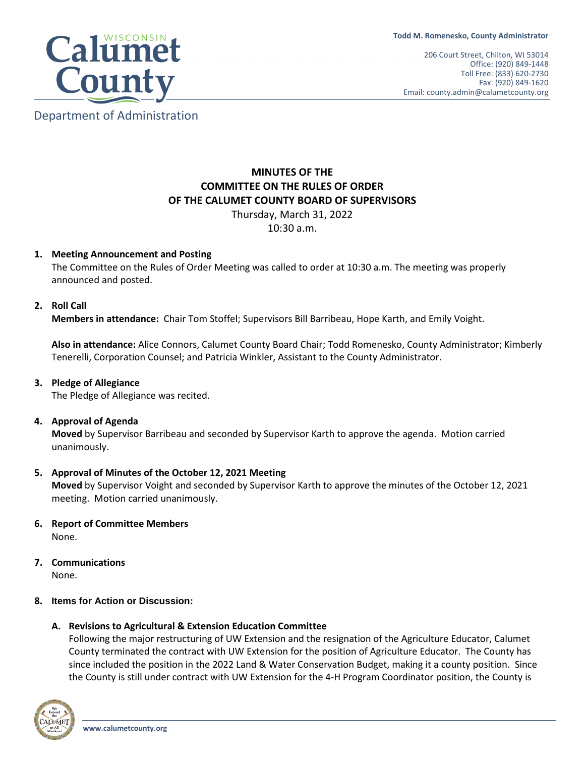

Department of Administration

# **MINUTES OF THE COMMITTEE ON THE RULES OF ORDER OF THE CALUMET COUNTY BOARD OF SUPERVISORS**

Thursday, March 31, 2022

10:30 a.m.

## **1. Meeting Announcement and Posting**

The Committee on the Rules of Order Meeting was called to order at 10:30 a.m. The meeting was properly announced and posted.

## **2. Roll Call**

**Members in attendance:** Chair Tom Stoffel; Supervisors Bill Barribeau, Hope Karth, and Emily Voight.

**Also in attendance:** Alice Connors, Calumet County Board Chair; Todd Romenesko, County Administrator; Kimberly Tenerelli, Corporation Counsel; and Patricia Winkler, Assistant to the County Administrator.

# **3. Pledge of Allegiance**

The Pledge of Allegiance was recited.

## **4. Approval of Agenda**

**Moved** by Supervisor Barribeau and seconded by Supervisor Karth to approve the agenda. Motion carried unanimously.

## **5. Approval of Minutes of the October 12, 2021 Meeting**

**Moved** by Supervisor Voight and seconded by Supervisor Karth to approve the minutes of the October 12, 2021 meeting. Motion carried unanimously.

# **6. Report of Committee Members**

None.

# **7. Communications**

None.

# **8. Items for Action or Discussion:**

# **A. Revisions to Agricultural & Extension Education Committee**

Following the major restructuring of UW Extension and the resignation of the Agriculture Educator, Calumet County terminated the contract with UW Extension for the position of Agriculture Educator. The County has since included the position in the 2022 Land & Water Conservation Budget, making it a county position. Since the County is still under contract with UW Extension for the 4-H Program Coordinator position, the County is

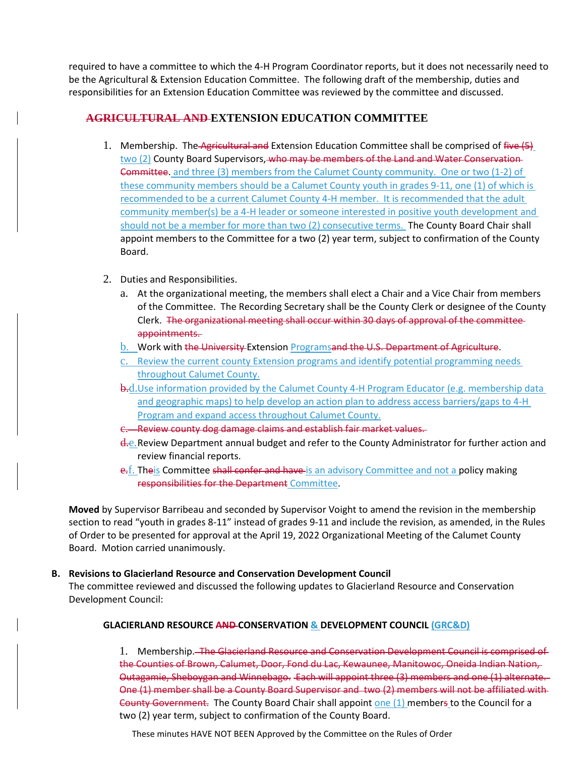required to have a committee to which the 4-H Program Coordinator reports, but it does not necessarily need to be the Agricultural & Extension Education Committee. The following draft of the membership, duties and responsibilities for an Extension Education Committee was reviewed by the committee and discussed.

# **AGRICULTURAL AND EXTENSION EDUCATION COMMITTEE**

- 1. Membership. The Agricultural and Extension Education Committee shall be comprised of five (5) two (2) County Board Supervisors, who may be members of the Land and Water Conservation-Committee. and three (3) members from the Calumet County community. One or two (1-2) of these community members should be a Calumet County youth in grades 9-11, one (1) of which is recommended to be a current Calumet County 4-H member. It is recommended that the adult community member(s) be a 4-H leader or someone interested in positive youth development and should not be a member for more than two (2) consecutive terms. The County Board Chair shall appoint members to the Committee for a two (2) year term, subject to confirmation of the County Board.
- 2. Duties and Responsibilities.
	- a. At the organizational meeting, the members shall elect a Chair and a Vice Chair from members of the Committee. The Recording Secretary shall be the County Clerk or designee of the County Clerk. The organizational meeting shall occur within 30 days of approval of the committee appointments.
	- b. Work with the University Extension Programsand the U.S. Department of Agriculture.
	- c. Review the current county Extension programs and identify potential programming needs throughout Calumet County.
	- **b.d.**Use information provided by the Calumet County 4-H Program Educator (e.g. membership data and geographic maps) to help develop an action plan to address access barriers/gaps to 4-H Program and expand access throughout Calumet County.
	- c. Review county dog damage claims and establish fair market values.
	- d<sub>re</sub>. Review Department annual budget and refer to the County Administrator for further action and review financial reports.
	- e.f. Theis Committee shall confer and have is an advisory Committee and not a policy making responsibilities for the Department Committee.

**Moved** by Supervisor Barribeau and seconded by Supervisor Voight to amend the revision in the membership section to read "youth in grades 8-11" instead of grades 9-11 and include the revision, as amended, in the Rules of Order to be presented for approval at the April 19, 2022 Organizational Meeting of the Calumet County Board. Motion carried unanimously.

# **B. Revisions to Glacierland Resource and Conservation Development Council**

The committee reviewed and discussed the following updates to Glacierland Resource and Conservation Development Council:

# **GLACIERLAND RESOURCE AND CONSERVATION & DEVELOPMENT COUNCIL (GRC&D)**

1. Membership. The Glacierland Resource and Conservation Development Council is comprised of the Counties of Brown, Calumet, Door, Fond du Lac, Kewaunee, Manitowoc, Oneida Indian Nation, Outagamie, Sheboygan and Winnebago. Each will appoint three (3) members and one (1) alternate. One (1) member shall be a County Board Supervisor and two (2) members will not be affiliated with County Government. The County Board Chair shall appoint one (1) members to the Council for a two (2) year term, subject to confirmation of the County Board.

These minutes HAVE NOT BEEN Approved by the Committee on the Rules of Order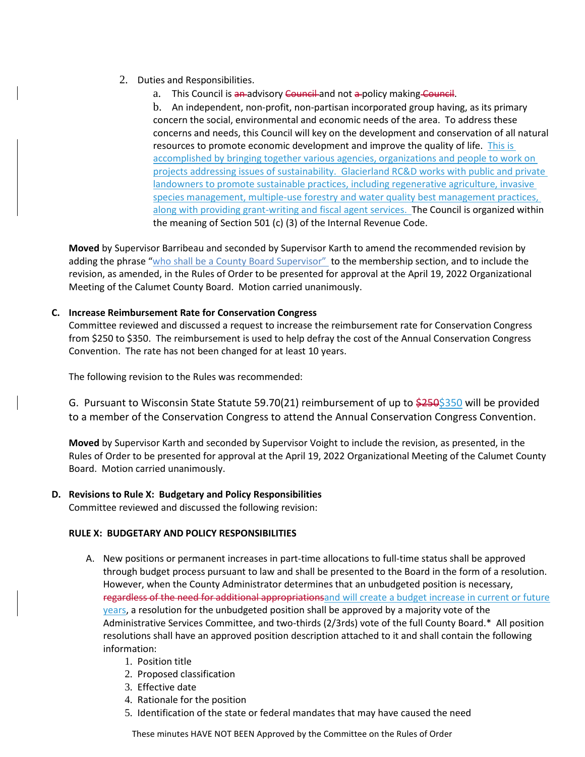- 2. Duties and Responsibilities.
	- a. This Council is an advisory Council and not a policy making Council.

b. An independent, non-profit, non-partisan incorporated group having, as its primary concern the social, environmental and economic needs of the area. To address these concerns and needs, this Council will key on the development and conservation of all natural resources to promote economic development and improve the quality of life. This is accomplished by bringing together various agencies, organizations and people to work on projects addressing issues of sustainability. Glacierland RC&D works with public and private landowners to promote sustainable practices, including regenerative agriculture, invasive species management, multiple-use forestry and water quality best management practices, along with providing grant-writing and fiscal agent services. The Council is organized within the meaning of Section 501 (c) (3) of the Internal Revenue Code.

**Moved** by Supervisor Barribeau and seconded by Supervisor Karth to amend the recommended revision by adding the phrase "who shall be a County Board Supervisor" to the membership section, and to include the revision, as amended, in the Rules of Order to be presented for approval at the April 19, 2022 Organizational Meeting of the Calumet County Board. Motion carried unanimously.

# **C. Increase Reimbursement Rate for Conservation Congress**

Committee reviewed and discussed a request to increase the reimbursement rate for Conservation Congress from \$250 to \$350. The reimbursement is used to help defray the cost of the Annual Conservation Congress Convention. The rate has not been changed for at least 10 years.

The following revision to the Rules was recommended:

G. Pursuant to Wisconsin State Statute 59.70(21) reimbursement of up to \$250\$350 will be provided to a member of the Conservation Congress to attend the Annual Conservation Congress Convention.

**Moved** by Supervisor Karth and seconded by Supervisor Voight to include the revision, as presented, in the Rules of Order to be presented for approval at the April 19, 2022 Organizational Meeting of the Calumet County Board. Motion carried unanimously.

## **D. Revisions to Rule X: Budgetary and Policy Responsibilities**

Committee reviewed and discussed the following revision:

## **RULE X: BUDGETARY AND POLICY RESPONSIBILITIES**

- A. New positions or permanent increases in part-time allocations to full-time status shall be approved through budget process pursuant to law and shall be presented to the Board in the form of a resolution. However, when the County Administrator determines that an unbudgeted position is necessary, regardless of the need for additional appropriationsand will create a budget increase in current or future years, a resolution for the unbudgeted position shall be approved by a majority vote of the Administrative Services Committee, and two-thirds (2/3rds) vote of the full County Board.\* All position resolutions shall have an approved position description attached to it and shall contain the following information:
	- 1. Position title
	- 2. Proposed classification
	- 3. Effective date
	- 4. Rationale for the position
	- 5. Identification of the state or federal mandates that may have caused the need

These minutes HAVE NOT BEEN Approved by the Committee on the Rules of Order